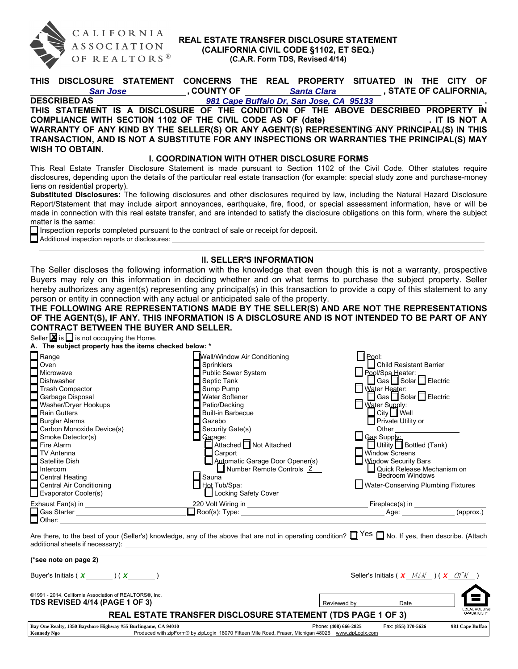

## REAL ESTATE TRANSFER DISCLOSURE STATEMENT (CALIFORNIA CIVIL CODE §1102, ET SEQ.) (C.A.R. Form TDS, Revised 4/14)

THIS DISCLOSURE STATEMENT CONCERNS THE REAL PROPERTY SITUATED IN THE CITY OF Santa Clara The STATE OF CALIFORNIA, DESCRIBED AS . *981 Cape Buffalo Dr, San Jose, CA 95133* THIS STATEMENT IS A DISCLOSURE OF THE CONDITION OF THE ABOVE DESCRIBED PROPERTY IN COMPLIANCE WITH SECTION 1102 OF THE CIVIL CODE AS OF (date) **.** IT IS NOT A **San Jose COUNTY OF** 

WARRANTY OF ANY KIND BY THE SELLER(S) OR ANY AGENT(S) REPRESENTING ANY PRINCIPAL(S) IN THIS TRANSACTION, AND IS NOT A SUBSTITUTE FOR ANY INSPECTIONS OR WARRANTIES THE PRINCIPAL(S) MAY WISH TO OBTAIN.

## I. COORDINATION WITH OTHER DISCLOSURE FORMS

This Real Estate Transfer Disclosure Statement is made pursuant to Section 1102 of the Civil Code. Other statutes require disclosures, depending upon the details of the particular real estate transaction (for example: special study zone and purchase-money liens on residential property).

Substituted Disclosures: The following disclosures and other disclosures required by law, including the Natural Hazard Disclosure Report/Statement that may include airport annoyances, earthquake, fire, flood, or special assessment information, have or will be made in connection with this real estate transfer, and are intended to satisfy the disclosure obligations on this form, where the subject matter is the same:

 $\Box$  Inspection reports completed pursuant to the contract of sale or receipt for deposit.

Additional inspection reports or disclosures:

## II. SELLER'S INFORMATION

The Seller discloses the following information with the knowledge that even though this is not a warranty, prospective Buyers may rely on this information in deciding whether and on what terms to purchase the subject property. Seller hereby authorizes any agent(s) representing any principal(s) in this transaction to provide a copy of this statement to any person or entity in connection with any actual or anticipated sale of the property.

THE FOLLOWING ARE REPRESENTATIONS MADE BY THE SELLER(S) AND ARE NOT THE REPRESENTATIONS OF THE AGENT(S), IF ANY. THIS INFORMATION IS A DISCLOSURE AND IS NOT INTENDED TO BE PART OF ANY CONTRACT BETWEEN THE BUYER AND SELLER.

Seller  $\Xi$  is  $\square$  is not occupying the Home.

**Kennedy Ngo**

| A. The subject property has the items checked below: * |                                     |                                    |  |  |  |  |  |  |
|--------------------------------------------------------|-------------------------------------|------------------------------------|--|--|--|--|--|--|
| $\Box$ Range                                           | <b>Wall/Window Air Conditioning</b> | $\Box$ Pool:                       |  |  |  |  |  |  |
| Oven                                                   | Sprinklers                          | <b>Child Resistant Barrier</b>     |  |  |  |  |  |  |
| Microwave                                              | Public Sewer System                 | ] Pool/Spa_Heater: _               |  |  |  |  |  |  |
| Dishwasher                                             | Septic Tank                         | Gas Solar DElectric                |  |  |  |  |  |  |
| <b>Trash Compactor</b>                                 | Sump Pump                           | Water Heater:                      |  |  |  |  |  |  |
| Garbage Disposal                                       | <b>Water Softener</b>               | Gas $\Box$ Solar $\Box$ Electric   |  |  |  |  |  |  |
| Washer/Dryer Hookups                                   | Patio/Decking                       | Water Supply:                      |  |  |  |  |  |  |
| <b>∐</b> Rain Gutters                                  | <b>Built-in Barbecue</b>            | City $\Box$ Well                   |  |  |  |  |  |  |
| $\Box$ Burglar Alarms                                  | Gazebo                              | Private Utility or                 |  |  |  |  |  |  |
| Carbon Monoxide Device(s)                              | Security Gate(s)                    | Other                              |  |  |  |  |  |  |
| Smoke Detector(s)                                      | Garage:                             | Gas Supply                         |  |  |  |  |  |  |
| $\Box$ Fire Alarm                                      | Attached Not Attached               | Utility $\Box$ Bottled (Tank)      |  |  |  |  |  |  |
| <b>J</b> TV Antenna                                    | ∎Carport                            | <b>Window Screens</b>              |  |  |  |  |  |  |
| $\Box$ Satellite Dish                                  | Automatic Garage Door Opener(s)     | <b>Window Security Bars</b>        |  |  |  |  |  |  |
| $\blacksquare$ Intercom                                | Number Remote Controls 2            | Quick Release Mechanism on         |  |  |  |  |  |  |
| $\Box$ Central Heating                                 | $\sf J$ Sauna                       | <b>Bedroom Windows</b>             |  |  |  |  |  |  |
| Central Air Conditioning                               | Hot Tub/Spa:                        | Water-Conserving Plumbing Fixtures |  |  |  |  |  |  |
| $\Box$ Evaporator Cooler(s)                            | Locking Safety Cover                |                                    |  |  |  |  |  |  |
| Exhaust Fan(s) in _____                                | 220 Volt Wiring in ____________     | Fireplace(s) in ____               |  |  |  |  |  |  |
| Gas Starter                                            | $\Box$ Roof(s): Type:               | (approx.)<br>Age: _____________    |  |  |  |  |  |  |
| $\Box$ Other:                                          |                                     |                                    |  |  |  |  |  |  |

Are there, to the best of your (Seller's) knowledge, any of the above that are not in operating condition? Nesell No. If yes, then describe. (Attach additional sheets if necessary):

| (*see note on page 2)                                                                     |                       |                                                                   |                                     |
|-------------------------------------------------------------------------------------------|-----------------------|-------------------------------------------------------------------|-------------------------------------|
| Buyer's Initials $(X_1, \ldots, X_n)$ $(X_n)$                                             |                       | Seller's Initials ( $\bf{X}$ <i>MLN</i> ) ( $\bf{X}$ <i>OTN</i> ) |                                     |
| ©1991 - 2014, California Association of REALTORS®, Inc.<br>TDS REVISED 4/14 (PAGE 1 OF 3) | Reviewed by           | Date                                                              |                                     |
| <b>REAL ESTATE TRANSFER DISCLOSURE STATEMENT (TDS PAGE 1 OF 3)</b>                        |                       |                                                                   | EQUAL HOUSING<br><b>OPPORTUNITY</b> |
| Bay One Realty, 1350 Bayshore Highway #55 Burlingame, CA 94010                            | Phone: (408) 666-2825 | Fax: (855) 370-5626                                               | 981 Cape Buffao                     |

Produced with zipForm® by zipLogix 18070 Fifteen Mile Road, Fraser, Michigan 48026 www.zipLogix.com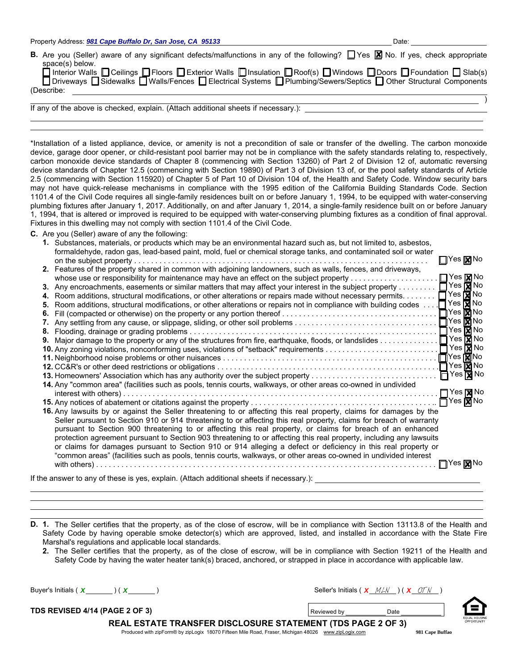|  |  | Property Address: 981 Cape Buffalo Dr. San Jose, CA 95133 |  |  |  | Date: |
|--|--|-----------------------------------------------------------|--|--|--|-------|
|--|--|-----------------------------------------------------------|--|--|--|-------|

| <b>B.</b> Are you (Seller) aware of any significant defects/malfunctions in any of the following? $\Box$ Yes $\boxtimes$ No. If yes, check appropriate                                                                           |
|----------------------------------------------------------------------------------------------------------------------------------------------------------------------------------------------------------------------------------|
| space(s) below.                                                                                                                                                                                                                  |
| □ Interior Walls ■ Ceilings ■ Floors ■ Exterior Walls ■ Insulation ■ Roof(s) ■ Windows ■ Doors ■ Foundation ■ Slab(s)<br>■ Driveways ■ Sidewalks ■ Walls/Fences ■ Electrical Systems ■ Plumbing/Sewers/Septics ■ Other Structura |
|                                                                                                                                                                                                                                  |
| (Describe:                                                                                                                                                                                                                       |
|                                                                                                                                                                                                                                  |
| If any of the above is checked, explain. (Attach additional sheets if necessary.):                                                                                                                                               |

\*Installation of a listed appliance, device, or amenity is not a precondition of sale or transfer of the dwelling. The carbon monoxide device, garage door opener, or child-resistant pool barrier may not be in compliance with the safety standards relating to, respectively, carbon monoxide device standards of Chapter 8 (commencing with Section 13260) of Part 2 of Division 12 of, automatic reversing device standards of Chapter 12.5 (commencing with Section 19890) of Part 3 of Division 13 of, or the pool safety standards of Article 2.5 (commencing with Section 115920) of Chapter 5 of Part 10 of Division 104 of, the Health and Safety Code. Window security bars may not have quick-release mechanisms in compliance with the 1995 edition of the California Building Standards Code. Section 1101.4 of the Civil Code requires all single-family residences built on or before January 1, 1994, to be equipped with water-conserving plumbing fixtures after January 1, 2017. Additionally, on and after January 1, 2014, a single-family residence built on or before January 1, 1994, that is altered or improved is required to be equipped with water-conserving plumbing fixtures as a condition of final approval. Fixtures in this dwelling may not comply with section 1101.4 of the Civil Code.

C. Are you (Seller) aware of any the following:

|    | 1. Substances, materials, or products which may be an environmental hazard such as, but not limited to, asbestos,                                   |
|----|-----------------------------------------------------------------------------------------------------------------------------------------------------|
|    | formaldehyde, radon gas, lead-based paint, mold, fuel or chemical storage tanks, and contaminated soil or water                                     |
|    | $\Box$ Yes $\boxtimes$ No                                                                                                                           |
|    | 2. Features of the property shared in common with adjoining landowners, such as walls, fences, and driveways,                                       |
|    | $\Box$ Yes $\boxtimes$ No<br>whose use or responsibility for maintenance may have an effect on the subject property $\ldots \ldots \ldots \ldots$   |
|    | TYes <b>X</b> No<br>3. Any encroachments, easements or similar matters that may affect your interest in the subject property $\ldots \ldots \ldots$ |
| 4. | TYes <b>∏N</b> o<br>Room additions, structural modifications, or other alterations or repairs made without necessary permits.                       |
| 5. | <b>Π</b> Yes <b>反</b> No<br>Room additions, structural modifications, or other alterations or repairs not in compliance with building codes         |
| 6. | $\blacksquare$ Yes $\blacksquare$ No                                                                                                                |
|    | $\blacksquare$ Yes $\blacksquare$ No                                                                                                                |
|    | $\prod$ Yes $\overline{\mathbf{M}}$ No                                                                                                              |
| 9. | Yes <mark>∏</mark> No<br>Major damage to the property or any of the structures from fire, earthquake, floods, or landslides                         |
|    | $\Box$ Yes $\overline{\mathbf{x}}$ No                                                                                                               |
|    | MYes <b>⊠</b> No                                                                                                                                    |
|    | $\blacksquare$ Yes $\blacksquare$ No                                                                                                                |
|    | $\Box$ Yes $\overline{\mathbf{X}}$ No<br>13. Homeowners' Association which has any authority over the subject property                              |
|    | 14. Any "common area" (facilities such as pools, tennis courts, walkways, or other areas co-owned in undivided                                      |
|    | ヿYes <b>ӯ</b> No                                                                                                                                    |
|    | <b>□Yes 闵No</b>                                                                                                                                     |
|    | 16. Any lawsuits by or against the Seller threatening to or affecting this real property, claims for damages by the                                 |
|    | Seller pursuant to Section 910 or 914 threatening to or affecting this real property, claims for breach of warranty                                 |
|    | pursuant to Section 900 threatening to or affecting this real property, or claims for breach of an enhanced                                         |
|    | protection agreement pursuant to Section 903 threatening to or affecting this real property, including any lawsuits                                 |
|    | or claims for damages pursuant to Section 910 or 914 alleging a defect or deficiency in this real property or                                       |
|    | "common areas" (facilities such as pools, tennis courts, walkways, or other areas co-owned in undivided interest                                    |
|    | $\Box$ Yes $\boxtimes$ No                                                                                                                           |
|    | If the answer to any of these is yes, explain. (Attach additional sheets if necessary.):                                                            |
|    |                                                                                                                                                     |

D. 1. The Seller certifies that the property, as of the close of escrow, will be in compliance with Section 13113.8 of the Health and Safety Code by having operable smoke detector(s) which are approved, listed, and installed in accordance with the State Fire Marshal's regulations and applicable local standards.

2. The Seller certifies that the property, as of the close of escrow, will be in compliance with Section 19211 of the Health and Safety Code by having the water heater tank(s) braced, anchored, or strapped in place in accordance with applicable law.

Buyer's Initials ( ) ( ) Seller's Initials ( ) ( ) *X X X X MLN OTN*



TDS REVISED 4/14 (PAGE 2 OF 3) Reviewed by Date

REAL ESTATE TRANSFER DISCLOSURE STATEMENT (TDS PAGE 2 OF 3)

Produced with zipForm® by zipLogix 18070 Fifteen Mile Road, Fraser, Michigan 48026 www.zipLogix.com

**981 Cape Buffao**